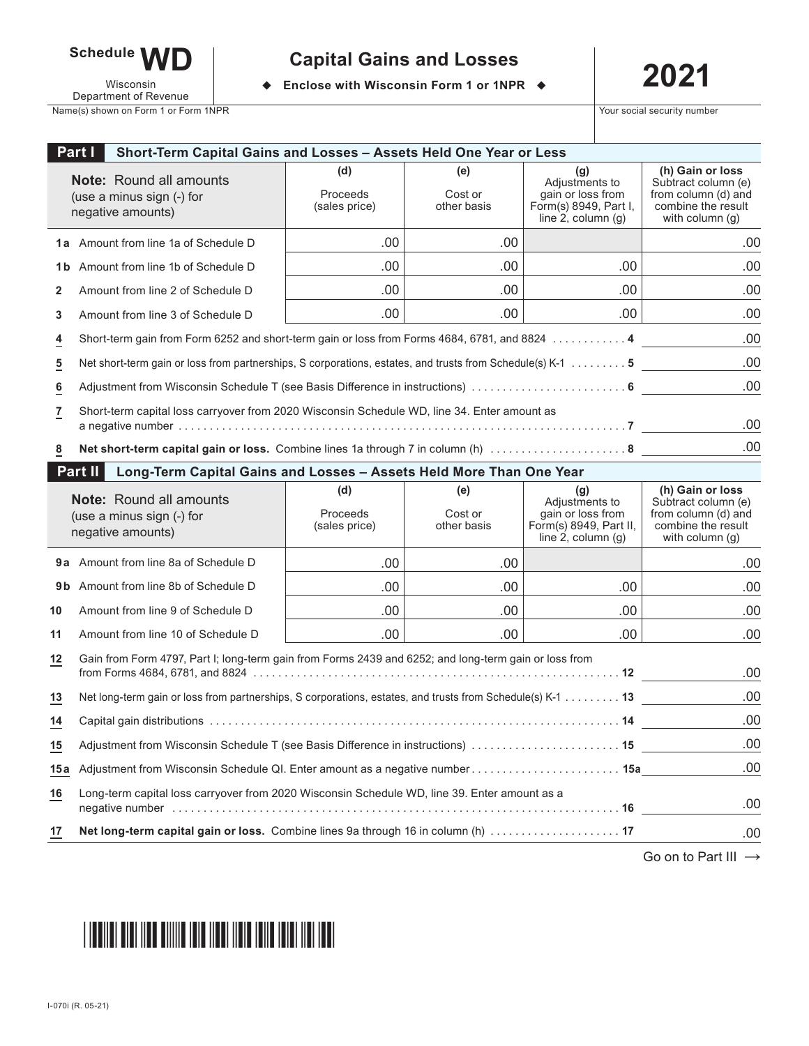

Wisconsin Department of Revenue

# **2021 Capital Gains and Losses**

◆ Enclose with Wisconsin Form 1 or 1NPR ◆

Name(s) shown on Form 1 or Form 1NPR **Your social security number**  $\overline{X}$  Your social security number

|                 | Part I<br>Short-Term Capital Gains and Losses - Assets Held One Year or Less                                     |                                  |                               |                                                                                                 |                                                                                                         |  |  |
|-----------------|------------------------------------------------------------------------------------------------------------------|----------------------------------|-------------------------------|-------------------------------------------------------------------------------------------------|---------------------------------------------------------------------------------------------------------|--|--|
|                 | <b>Note:</b> Round all amounts<br>(use a minus sign (-) for<br>negative amounts)                                 | (d)<br>Proceeds<br>(sales price) | (e)<br>Cost or<br>other basis | (g)<br>Adjustments to<br>gain or loss from<br>Form(s) 8949, Part I,<br>line $2$ , column $(g)$  | (h) Gain or loss<br>Subtract column (e)<br>from column (d) and<br>combine the result<br>with column (g) |  |  |
|                 | <b>1a</b> Amount from line 1a of Schedule D                                                                      | .00                              | .00                           |                                                                                                 | .00                                                                                                     |  |  |
| 1b              | Amount from line 1b of Schedule D                                                                                | .00                              | .00                           | .00                                                                                             | .00                                                                                                     |  |  |
| 2               | Amount from line 2 of Schedule D                                                                                 | .00                              | .00                           | .00.                                                                                            | .00                                                                                                     |  |  |
| 3               | Amount from line 3 of Schedule D                                                                                 | .00                              | .00                           | .00.                                                                                            | .00                                                                                                     |  |  |
| $\overline{4}$  | .00<br>Short-term gain from Form 6252 and short-term gain or loss from Forms 4684, 6781, and 8824 4              |                                  |                               |                                                                                                 |                                                                                                         |  |  |
| $\overline{5}$  | Net short-term gain or loss from partnerships, S corporations, estates, and trusts from Schedule(s) K-1 5        | .00                              |                               |                                                                                                 |                                                                                                         |  |  |
| $\underline{6}$ |                                                                                                                  |                                  |                               |                                                                                                 |                                                                                                         |  |  |
| 7               | Short-term capital loss carryover from 2020 Wisconsin Schedule WD, line 34. Enter amount as                      |                                  |                               |                                                                                                 |                                                                                                         |  |  |
|                 |                                                                                                                  |                                  |                               |                                                                                                 | .00<br>.00                                                                                              |  |  |
| 8               | Part II<br>Long-Term Capital Gains and Losses - Assets Held More Than One Year                                   |                                  |                               |                                                                                                 |                                                                                                         |  |  |
|                 | <b>Note:</b> Round all amounts<br>(use a minus sign (-) for<br>negative amounts)                                 | (d)<br>Proceeds<br>(sales price) | (e)<br>Cost or<br>other basis | (g)<br>Adjustments to<br>gain or loss from<br>Form(s) 8949, Part II,<br>line $2$ , column $(g)$ | (h) Gain or loss<br>Subtract column (e)<br>from column (d) and<br>combine the result<br>with column (g) |  |  |
|                 | 9a Amount from line 8a of Schedule D                                                                             | .00                              | .00                           |                                                                                                 | .00                                                                                                     |  |  |
| 9 b             | Amount from line 8b of Schedule D                                                                                | .00                              | .00.                          | .00                                                                                             | .00                                                                                                     |  |  |
| 10              | Amount from line 9 of Schedule D                                                                                 | .00                              | .00.                          | .00                                                                                             | .00                                                                                                     |  |  |
| 11              | Amount from line 10 of Schedule D                                                                                | .00                              | .00                           | .00                                                                                             | .00                                                                                                     |  |  |
| $12$            | Gain from Form 4797, Part I; long-term gain from Forms 2439 and 6252; and long-term gain or loss from<br>.00     |                                  |                               |                                                                                                 |                                                                                                         |  |  |
| 13              | .00<br>Net long-term gain or loss from partnerships, S corporations, estates, and trusts from Schedule(s) K-1 13 |                                  |                               |                                                                                                 |                                                                                                         |  |  |
| 14              |                                                                                                                  |                                  |                               |                                                                                                 | .00                                                                                                     |  |  |
| $\overline{15}$ |                                                                                                                  | .00                              |                               |                                                                                                 |                                                                                                         |  |  |
| 15 a            |                                                                                                                  |                                  |                               |                                                                                                 |                                                                                                         |  |  |
| 16              | Long-term capital loss carryover from 2020 Wisconsin Schedule WD, line 39. Enter amount as a                     |                                  |                               |                                                                                                 | .00                                                                                                     |  |  |
| 17              | Net long-term capital gain or loss. Combine lines 9a through 16 in column (h)  17                                |                                  |                               |                                                                                                 | .00                                                                                                     |  |  |

Go on to Part III →

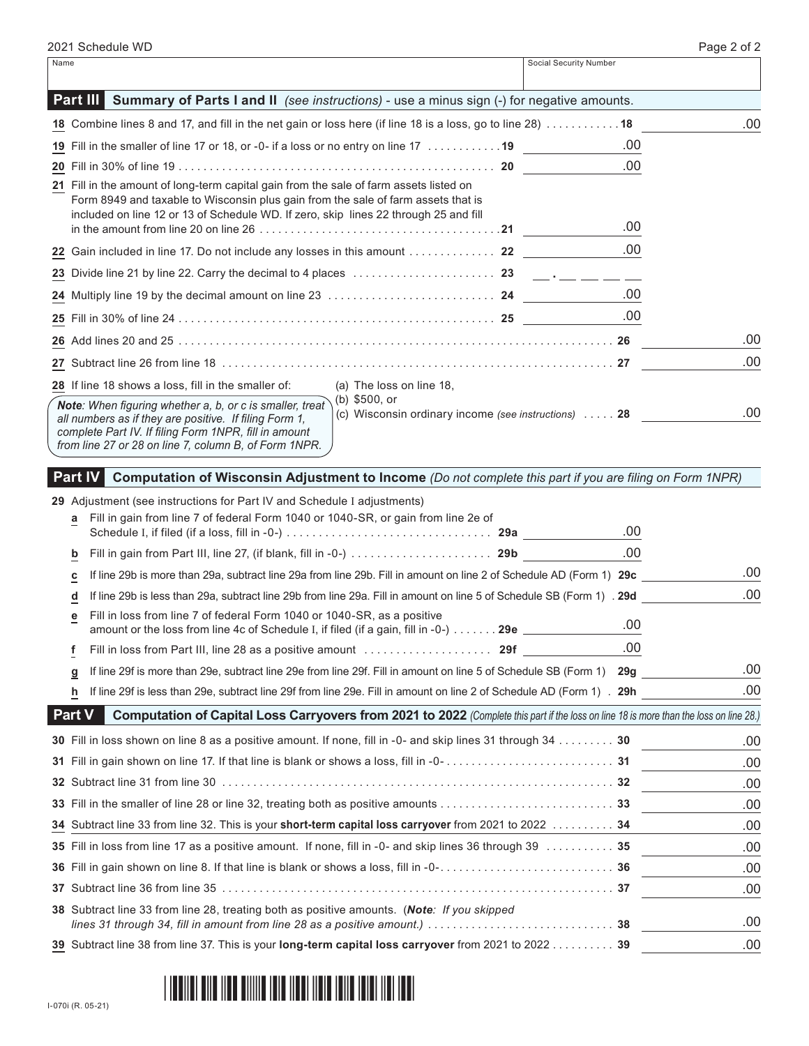| Name |                                                                                                                                                                                                                                                                                                               | Social Security Number |     |
|------|---------------------------------------------------------------------------------------------------------------------------------------------------------------------------------------------------------------------------------------------------------------------------------------------------------------|------------------------|-----|
|      | Part III<br><b>Summary of Parts I and II</b> (see instructions) - use a minus sign (-) for negative amounts.                                                                                                                                                                                                  |                        |     |
|      | 18 Combine lines 8 and 17, and fill in the net gain or loss here (if line 18 is a loss, go to line 28) 18                                                                                                                                                                                                     |                        | .00 |
|      | 19 Fill in the smaller of line 17 or 18, or -0- if a loss or no entry on line 17 19                                                                                                                                                                                                                           | .00.                   |     |
|      |                                                                                                                                                                                                                                                                                                               | .00                    |     |
|      | 21 Fill in the amount of long-term capital gain from the sale of farm assets listed on<br>Form 8949 and taxable to Wisconsin plus gain from the sale of farm assets that is<br>included on line 12 or 13 of Schedule WD. If zero, skip lines 22 through 25 and fill                                           | .00                    |     |
|      |                                                                                                                                                                                                                                                                                                               | .00                    |     |
|      |                                                                                                                                                                                                                                                                                                               |                        |     |
|      | 24 Multiply line 19 by the decimal amount on line 23 …………………………………… 24                                                                                                                                                                                                                                        | .00                    |     |
|      |                                                                                                                                                                                                                                                                                                               | .00                    |     |
|      |                                                                                                                                                                                                                                                                                                               |                        | .00 |
|      |                                                                                                                                                                                                                                                                                                               |                        | .00 |
|      | 28 If line 18 shows a loss, fill in the smaller of:<br>(a) The loss on line 18,                                                                                                                                                                                                                               |                        |     |
|      | (b) \$500, or<br>Note: When figuring whether a, b, or c is smaller, treat<br>(c) Wisconsin ordinary income (see instructions)  28<br>all numbers as if they are positive. If filing Form 1,<br>complete Part IV. If filing Form 1NPR, fill in amount<br>from line 27 or 28 on line 7, column B, of Form 1NPR. |                        | .00 |

# **Part IV Computation of Wisconsin Adjustment to Income** *(Do not complete this part if you are filing on Form 1NPR)*

# **29** Adjustment (see instructions for Part IV and Schedule I adjustments)

| a             | Fill in gain from line 7 of federal Form 1040 or 1040-SR, or gain from line 2e of<br>Schedule I, if filed (if a loss, fill in -0-) ………………………………………… 29a                  | .00  |      |
|---------------|--------------------------------------------------------------------------------------------------------------------------------------------------------------------------|------|------|
| b             |                                                                                                                                                                          | .00. |      |
| с             | If line 29b is more than 29a, subtract line 29a from line 29b. Fill in amount on line 2 of Schedule AD (Form 1) 29c                                                      |      | .00  |
| d             | If line 29b is less than 29a, subtract line 29b from line 29a. Fill in amount on line 5 of Schedule SB (Form 1) . 29d                                                    |      | .00  |
| е             | Fill in loss from line 7 of federal Form 1040 or 1040-SR, as a positive<br>amount or the loss from line 4c of Schedule I, if filed (if a gain, fill in -0-)  29e _______ | .00  |      |
| f             | Fill in loss from Part III, line 28 as a positive amount $\ldots \ldots \ldots \ldots \ldots$ 29f                                                                        | .00  |      |
| g             | If line 29f is more than 29e, subtract line 29e from line 29f. Fill in amount on line 5 of Schedule SB (Form 1)                                                          | 29q  | .00. |
| h             | If line 29f is less than 29e, subtract line 29f from line 29e. Fill in amount on line 2 of Schedule AD (Form 1). 29h                                                     |      | .00  |
| <b>Part V</b> | Computation of Capital Loss Carryovers from 2021 to 2022 (Complete this part if the loss on line 18 is more than the loss on line 28.)                                   |      |      |
|               | 30 Fill in loss shown on line 8 as a positive amount. If none, fill in -0- and skip lines 31 through $34$ 30                                                             |      | .00  |
|               |                                                                                                                                                                          |      | .00  |
|               |                                                                                                                                                                          |      | .00  |
|               |                                                                                                                                                                          |      | .00  |
|               | 34 Subtract line 33 from line 32. This is your short-term capital loss carryover from 2021 to 2022  34                                                                   |      | .00  |
|               | 35 Fill in loss from line 17 as a positive amount. If none, fill in -0- and skip lines 36 through 39 35                                                                  |      | .00  |
|               |                                                                                                                                                                          |      | .00  |
|               |                                                                                                                                                                          |      | .00  |
|               | 38 Subtract line 33 from line 28, treating both as positive amounts. (Note: If you skipped                                                                               |      | .00  |
|               | 39 Subtract line 38 from line 37. This is your long-term capital loss carryover from 2021 to 2022 39                                                                     |      | .00  |
|               |                                                                                                                                                                          |      |      |

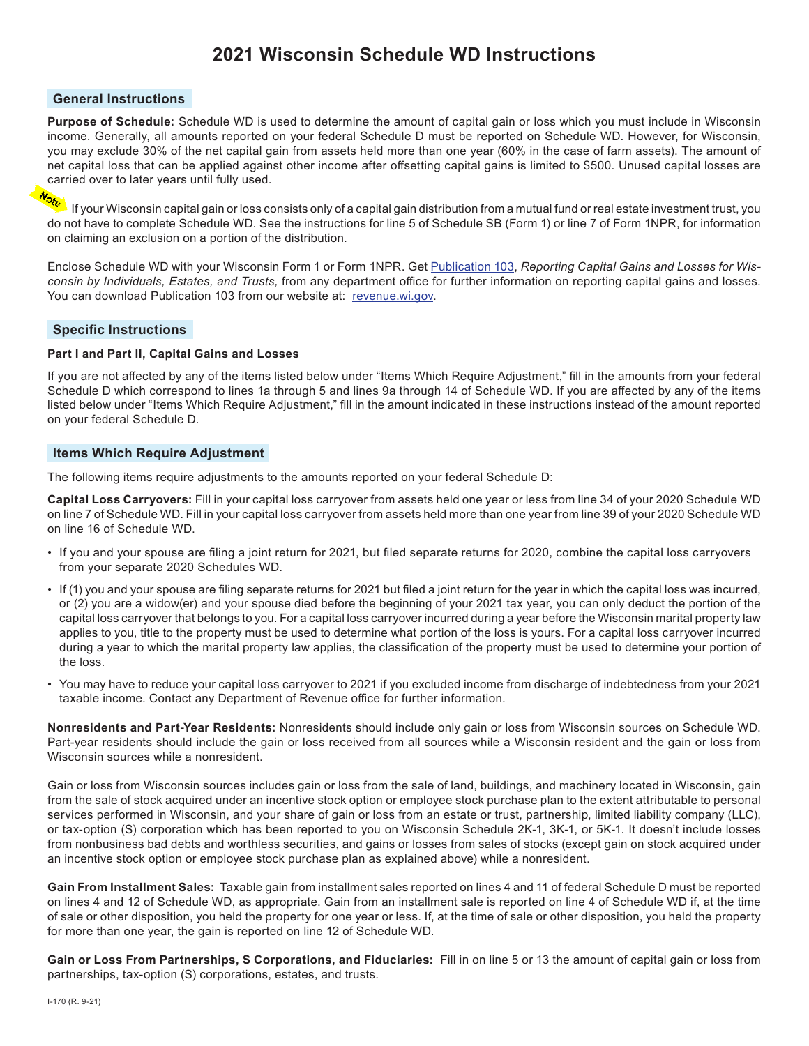# **2021 Wisconsin Schedule WD Instructions**

#### **General Instructions**

**Purpose of Schedule:** Schedule WD is used to determine the amount of capital gain or loss which you must include in Wisconsin income. Generally, all amounts reported on your federal Schedule D must be reported on Schedule WD. However, for Wisconsin, you may exclude 30% of the net capital gain from assets held more than one year (60% in the case of farm assets). The amount of net capital loss that can be applied against other income after offsetting capital gains is limited to \$500. Unused capital losses are carried over to later years until fully used.<br> $N_{\text{max}}$ 

If your Wisconsin capital gain or loss consists only of a capital gain distribution from a mutual fund or real estate investment trust, you do not have to complete Schedule WD. See the instructions for line 5 of Schedule SB (Form 1) or line 7 of Form 1NPR, for information on claiming an exclusion on a portion of the distribution.

Enclose Schedule WD with your Wisconsin Form 1 or Form 1NPR. Get Publication 103, *Reporting Capital Gains and Losses for Wisconsin by Individuals, Estates, and Trusts,* from any department office for further information on reporting capital gains and losses. You can download Publication 103 from our website at: revenue.wi.gov.

#### **Specific Instructions**

#### **Part I and Part II, Capital Gains and Losses**

If you are not affected by any of the items listed below under "Items Which Require Adjustment," fill in the amounts from your federal Schedule D which correspond to lines 1a through 5 and lines 9a through 14 of Schedule WD. If you are affected by any of the items listed below under "Items Which Require Adjustment," fill in the amount indicated in these instructions instead of the amount reported on your federal Schedule D.

#### **Items Which Require Adjustment**

The following items require adjustments to the amounts reported on your federal Schedule D:

**Capital Loss Carryovers:** Fill in your capital loss carryover from assets held one year or less from line 34 of your 2020 Schedule WD on line 7 of Schedule WD. Fill in your capital loss carryover from assets held more than one year from line 39 of your 2020 Schedule WD on line 16 of Schedule WD.

- If you and your spouse are filing a joint return for 2021, but filed separate returns for 2020, combine the capital loss carryovers from your separate 2020 Schedules WD.
- If (1) you and your spouse are filing separate returns for 2021 but filed a joint return for the year in which the capital loss was incurred, or (2) you are a widow(er) and your spouse died before the beginning of your 2021 tax year, you can only deduct the portion of the capital loss carryover that belongs to you. For a capital loss carryover incurred during a year before the Wisconsin marital property law applies to you, title to the property must be used to determine what portion of the loss is yours. For a capital loss carryover incurred during a year to which the marital property law applies, the classification of the property must be used to determine your portion of the loss.
- You may have to reduce your capital loss carryover to 2021 if you excluded income from discharge of indebtedness from your 2021 taxable income. Contact any Department of Revenue office for further information.

**Nonresidents and Part-Year Residents:** Nonresidents should include only gain or loss from Wisconsin sources on Schedule WD. Part-year residents should include the gain or loss received from all sources while a Wisconsin resident and the gain or loss from Wisconsin sources while a nonresident.

Gain or loss from Wisconsin sources includes gain or loss from the sale of land, buildings, and machinery located in Wisconsin, gain from the sale of stock acquired under an incentive stock option or employee stock purchase plan to the extent attributable to personal services performed in Wisconsin, and your share of gain or loss from an estate or trust, partnership, limited liability company (LLC), or tax-option (S) corporation which has been reported to you on Wisconsin Schedule 2K‑1, 3K-1, or 5K‑1. It doesn't include losses from nonbusiness bad debts and worthless securities, and gains or losses from sales of stocks (except gain on stock acquired under an incentive stock option or employee stock purchase plan as explained above) while a nonresident.

**Gain From Installment Sales:** Taxable gain from installment sales reported on lines 4 and 11 of federal Schedule D must be reported on lines 4 and 12 of Schedule WD, as appropriate. Gain from an installment sale is reported on line 4 of Schedule WD if, at the time of sale or other disposition, you held the property for one year or less. If, at the time of sale or other disposition, you held the property for more than one year, the gain is reported on line 12 of Schedule WD.

**Gain or Loss From Partnerships, S Corporations, and Fiduciaries:** Fill in on line 5 or 13 the amount of capital gain or loss from partnerships, tax-option (S) corporations, estates, and trusts.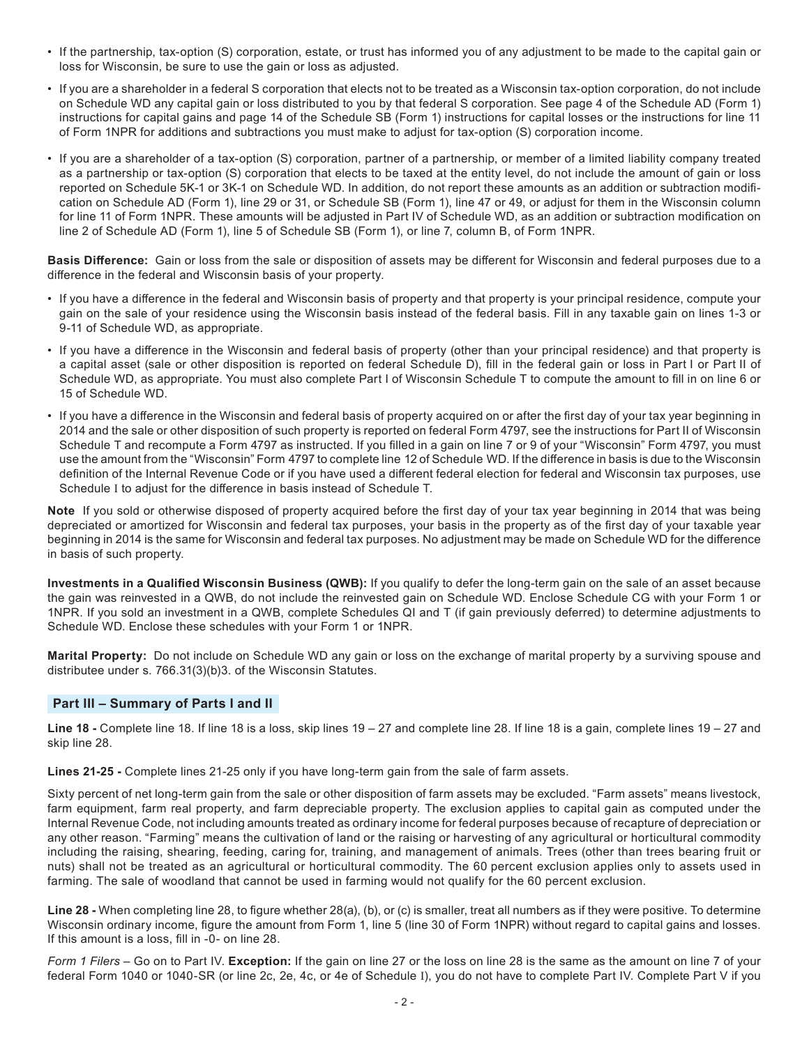- If the partnership, tax-option (S) corporation, estate, or trust has informed you of any adjustment to be made to the capital gain or loss for Wisconsin, be sure to use the gain or loss as adjusted.
- If you are a shareholder in a federal S corporation that elects not to be treated as a Wisconsin tax-option corporation, do not include on Schedule WD any capital gain or loss distributed to you by that federal S corporation. See page 4 of the Schedule AD (Form 1) instructions for capital gains and page 14 of the Schedule SB (Form 1) instructions for capital losses or the instructions for line 11 of Form 1NPR for additions and subtractions you must make to adjust for tax-option (S) corporation income.
- If you are a shareholder of a tax-option (S) corporation, partner of a partnership, or member of a limited liability company treated as a partnership or tax-option (S) corporation that elects to be taxed at the entity level, do not include the amount of gain or loss reported on Schedule 5K-1 or 3K-1 on Schedule WD. In addition, do not report these amounts as an addition or subtraction modification on Schedule AD (Form 1), line 29 or 31, or Schedule SB (Form 1), line 47 or 49, or adjust for them in the Wisconsin column for line 11 of Form 1NPR. These amounts will be adjusted in Part IV of Schedule WD, as an addition or subtraction modification on line 2 of Schedule AD (Form 1), line 5 of Schedule SB (Form 1), or line 7, column B, of Form 1NPR.

**Basis Difference:** Gain or loss from the sale or disposition of assets may be different for Wisconsin and federal purposes due to a difference in the federal and Wisconsin basis of your property.

- If you have a difference in the federal and Wisconsin basis of property and that property is your principal residence, compute your gain on the sale of your residence using the Wisconsin basis instead of the federal basis. Fill in any taxable gain on lines 1‑3 or 9-11 of Schedule WD, as appropriate.
- If you have a difference in the Wisconsin and federal basis of property (other than your principal residence) and that property is a capital asset (sale or other disposition is reported on federal Schedule D), fill in the federal gain or loss in Part I or Part II of Schedule WD, as appropriate. You must also complete Part I of Wisconsin Schedule T to compute the amount to fill in on line 6 or 15 of Schedule WD.
- If you have a difference in the Wisconsin and federal basis of property acquired on or after the first day of your tax year beginning in 2014 and the sale or other disposition of such property is reported on federal Form 4797, see the instructions for Part II of Wisconsin Schedule T and recompute a Form 4797 as instructed. If you filled in a gain on line 7 or 9 of your "Wisconsin" Form 4797, you must use the amount from the "Wisconsin" Form 4797 to complete line 12 of Schedule WD. If the difference in basis is due to the Wisconsin definition of the Internal Revenue Code or if you have used a different federal election for federal and Wisconsin tax purposes, use Schedule I to adjust for the difference in basis instead of Schedule T.

**Note** If you sold or otherwise disposed of property acquired before the first day of your tax year beginning in 2014 that was being depreciated or amortized for Wisconsin and federal tax purposes, your basis in the property as of the first day of your taxable year beginning in 2014 is the same for Wisconsin and federal tax purposes. No adjustment may be made on Schedule WD for the difference in basis of such property.

**Investments in a Qualified Wisconsin Business (QWB):** If you qualify to defer the long-term gain on the sale of an asset because the gain was reinvested in a QWB, do not include the reinvested gain on Schedule WD. Enclose Schedule CG with your Form 1 or 1NPR. If you sold an investment in a QWB, complete Schedules QI and T (if gain previously deferred) to determine adjustments to Schedule WD. Enclose these schedules with your Form 1 or 1NPR.

**Marital Property:** Do not include on Schedule WD any gain or loss on the exchange of marital property by a surviving spouse and distributee under s. 766.31(3)(b)3. of the Wisconsin Statutes.

## **Part III – Summary of Parts I and II**

**Line 18 -** Complete line 18. If line 18 is a loss, skip lines 19 – 27 and complete line 28. If line 18 is a gain, complete lines 19 – 27 and skip line 28.

**Lines 21-25 -** Complete lines 21-25 only if you have long-term gain from the sale of farm assets.

Sixty percent of net long-term gain from the sale or other disposition of farm assets may be excluded. "Farm assets" means livestock, farm equipment, farm real property, and farm depreciable property. The exclusion applies to capital gain as computed under the Internal Revenue Code, not including amounts treated as ordinary income for federal purposes because of recapture of depreciation or any other reason. "Farming" means the cultivation of land or the raising or harvesting of any agricultural or horticultural commodity including the raising, shearing, feeding, caring for, training, and management of animals. Trees (other than trees bearing fruit or nuts) shall not be treated as an agricultural or horticultural commodity. The 60 percent exclusion applies only to assets used in farming. The sale of woodland that cannot be used in farming would not qualify for the 60 percent exclusion.

**Line 28 -** When completing line 28, to figure whether 28(a), (b), or (c) is smaller, treat all numbers as if they were positive. To determine Wisconsin ordinary income, figure the amount from Form 1, line 5 (line 30 of Form 1NPR) without regard to capital gains and losses. If this amount is a loss, fill in -0- on line 28.

*Form 1 Filers* – Go on to Part IV. **Exception:** If the gain on line 27 or the loss on line 28 is the same as the amount on line 7 of your federal Form 1040 or 1040-SR (or line 2c, 2e, 4c, or 4e of Schedule I), you do not have to complete Part IV. Complete Part V if you